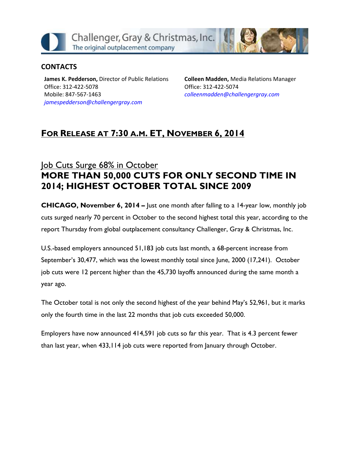

#### **CONTACTS**

**James K. Pedderson,** Director of Public Relations Office: 312-422-5078 Mobile: 847-567-1463 *[jamespedderson@challengergray.com](mailto:jamespedderson@challengergray.com)*

**Colleen Madden,** Media Relations Manager Office: 312-422-5074 *[colleenmadden@challengergray.com](mailto:colleenmadden@challengergray.com)*

## **FOR RELEASE AT 7:30 A.M. ET, NOVEMBER 6, 2014**

# lob Cuts Surge 68% in October **MORE THAN 50,000 CUTS FOR ONLY SECOND TIME IN 2014; HIGHEST OCTOBER TOTAL SINCE 2009**

**CHICAGO, November 6, 2014 –** Just one month after falling to a 14-year low, monthly job cuts surged nearly 70 percent in October to the second highest total this year, according to the report Thursday from global outplacement consultancy Challenger, Gray & Christmas, Inc.

U.S.-based employers announced 51,183 job cuts last month, a 68-percent increase from September's 30,477, which was the lowest monthly total since June, 2000 (17,241). October job cuts were 12 percent higher than the 45,730 layoffs announced during the same month a year ago.

The October total is not only the second highest of the year behind May's 52,961, but it marks only the fourth time in the last 22 months that job cuts exceeded 50,000.

Employers have now announced 414,591 job cuts so far this year. That is 4.3 percent fewer than last year, when 433,114 job cuts were reported from January through October.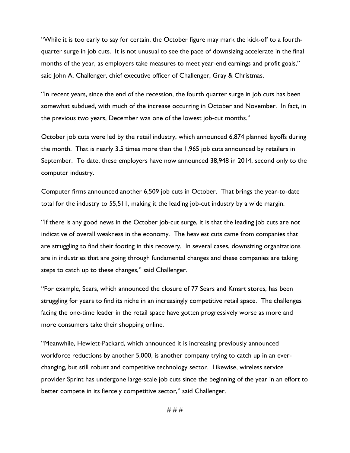"While it is too early to say for certain, the October figure may mark the kick-off to a fourthquarter surge in job cuts. It is not unusual to see the pace of downsizing accelerate in the final months of the year, as employers take measures to meet year-end earnings and profit goals," said John A. Challenger, chief executive officer of Challenger, Gray & Christmas.

"In recent years, since the end of the recession, the fourth quarter surge in job cuts has been somewhat subdued, with much of the increase occurring in October and November. In fact, in the previous two years, December was one of the lowest job-cut months."

October job cuts were led by the retail industry, which announced 6,874 planned layoffs during the month. That is nearly 3.5 times more than the 1,965 job cuts announced by retailers in September. To date, these employers have now announced 38,948 in 2014, second only to the computer industry.

Computer firms announced another 6,509 job cuts in October. That brings the year-to-date total for the industry to 55,511, making it the leading job-cut industry by a wide margin.

"If there is any good news in the October job-cut surge, it is that the leading job cuts are not indicative of overall weakness in the economy. The heaviest cuts came from companies that are struggling to find their footing in this recovery. In several cases, downsizing organizations are in industries that are going through fundamental changes and these companies are taking steps to catch up to these changes," said Challenger.

"For example, Sears, which announced the closure of 77 Sears and Kmart stores, has been struggling for years to find its niche in an increasingly competitive retail space. The challenges facing the one-time leader in the retail space have gotten progressively worse as more and more consumers take their shopping online.

"Meanwhile, Hewlett-Packard, which announced it is increasing previously announced workforce reductions by another 5,000, is another company trying to catch up in an everchanging, but still robust and competitive technology sector. Likewise, wireless service provider Sprint has undergone large-scale job cuts since the beginning of the year in an effort to better compete in its fiercely competitive sector," said Challenger.

# # #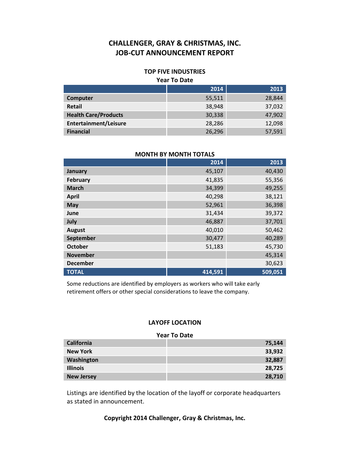#### **TOP FIVE INDUSTRIES**

#### **Year To Date**

|                              | 2014   | 2013   |
|------------------------------|--------|--------|
| Computer                     | 55,511 | 28,844 |
| Retail                       | 38,948 | 37,032 |
| <b>Health Care/Products</b>  | 30,338 | 47,902 |
| <b>Entertainment/Leisure</b> | 28,286 | 12,098 |
| <b>Financial</b>             | 26,296 | 57,591 |

| <b>MONTH BY MONTH TOTALS</b> |         |         |  |  |
|------------------------------|---------|---------|--|--|
|                              | 2014    | 2013    |  |  |
| January                      | 45,107  | 40,430  |  |  |
| February                     | 41,835  | 55,356  |  |  |
| <b>March</b>                 | 34,399  | 49,255  |  |  |
| <b>April</b>                 | 40,298  | 38,121  |  |  |
| <b>May</b>                   | 52,961  | 36,398  |  |  |
| June                         | 31,434  | 39,372  |  |  |
| July                         | 46,887  | 37,701  |  |  |
| <b>August</b>                | 40,010  | 50,462  |  |  |
| September                    | 30,477  | 40,289  |  |  |
| <b>October</b>               | 51,183  | 45,730  |  |  |
| <b>November</b>              |         | 45,314  |  |  |
| <b>December</b>              |         | 30,623  |  |  |
| <b>TOTAL</b>                 | 414,591 | 509,051 |  |  |

Some reductions are identified by employers as workers who will take early retirement offers or other special considerations to leave the company.

#### **LAYOFF LOCATION**

#### **Year To Date**

| <b>California</b> | 75,144 |
|-------------------|--------|
| <b>New York</b>   | 33,932 |
| Washington        | 32,887 |
| <b>Illinois</b>   | 28,725 |
| <b>New Jersey</b> | 28,710 |

Listings are identified by the location of the layoff or corporate headquarters as stated in announcement.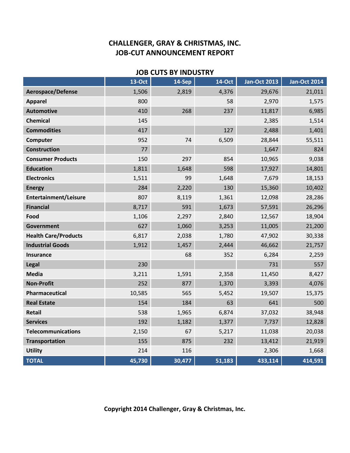### **JOB CUTS BY INDUSTRY**

|                              | <b>13-Oct</b> | 14-Sep | <b>14-Oct</b> | <b>Jan-Oct 2013</b> | <b>Jan-Oct 2014</b> |
|------------------------------|---------------|--------|---------------|---------------------|---------------------|
| Aerospace/Defense            | 1,506         | 2,819  | 4,376         | 29,676              | 21,011              |
| <b>Apparel</b>               | 800           |        | 58            | 2,970               | 1,575               |
| <b>Automotive</b>            | 410           | 268    | 237           | 11,817              | 6,985               |
| <b>Chemical</b>              | 145           |        |               | 2,385               | 1,514               |
| <b>Commodities</b>           | 417           |        | 127           | 2,488               | 1,401               |
| Computer                     | 952           | 74     | 6,509         | 28,844              | 55,511              |
| <b>Construction</b>          | 77            |        |               | 1,647               | 824                 |
| <b>Consumer Products</b>     | 150           | 297    | 854           | 10,965              | 9,038               |
| <b>Education</b>             | 1,811         | 1,648  | 598           | 17,927              | 14,801              |
| <b>Electronics</b>           | 1,511         | 99     | 1,648         | 7,679               | 18,153              |
| <b>Energy</b>                | 284           | 2,220  | 130           | 15,360              | 10,402              |
| <b>Entertainment/Leisure</b> | 807           | 8,119  | 1,361         | 12,098              | 28,286              |
| <b>Financial</b>             | 8,717         | 591    | 1,673         | 57,591              | 26,296              |
| Food                         | 1,106         | 2,297  | 2,840         | 12,567              | 18,904              |
| Government                   | 627           | 1,060  | 3,253         | 11,005              | 21,200              |
| <b>Health Care/Products</b>  | 6,817         | 2,038  | 1,780         | 47,902              | 30,338              |
| <b>Industrial Goods</b>      | 1,912         | 1,457  | 2,444         | 46,662              | 21,757              |
| <b>Insurance</b>             |               | 68     | 352           | 6,284               | 2,259               |
| Legal                        | 230           |        |               | 731                 | 557                 |
| <b>Media</b>                 | 3,211         | 1,591  | 2,358         | 11,450              | 8,427               |
| <b>Non-Profit</b>            | 252           | 877    | 1,370         | 3,393               | 4,076               |
| Pharmaceutical               | 10,585        | 565    | 5,452         | 19,507              | 15,375              |
| <b>Real Estate</b>           | 154           | 184    | 63            | 641                 | 500                 |
| <b>Retail</b>                | 538           | 1,965  | 6,874         | 37,032              | 38,948              |
| <b>Services</b>              | 192           | 1,182  | 1,377         | 7,737               | 12,828              |
| <b>Telecommunications</b>    | 2,150         | 67     | 5,217         | 11,038              | 20,038              |
| <b>Transportation</b>        | 155           | 875    | 232           | 13,412              | 21,919              |
| <b>Utility</b>               | 214           | 116    |               | 2,306               | 1,668               |
| <b>TOTAL</b>                 | 45,730        | 30,477 | 51,183        | 433,114             | 414,591             |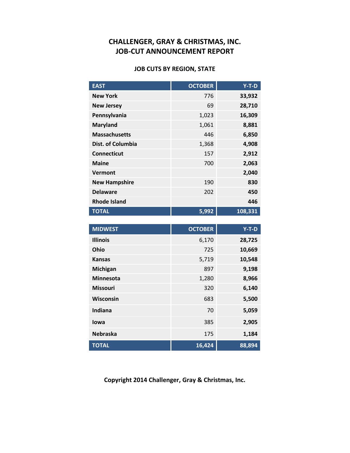#### **JOB CUTS BY REGION, STATE**

| <b>EAST</b>          | <b>OCTOBER</b> | $Y-T-D$ |
|----------------------|----------------|---------|
| <b>New York</b>      | 776            | 33,932  |
| <b>New Jersey</b>    | 69             | 28,710  |
| Pennsylvania         | 1,023          | 16,309  |
| <b>Maryland</b>      | 1,061          | 8,881   |
| <b>Massachusetts</b> | 446            | 6,850   |
| Dist. of Columbia    | 1,368          | 4,908   |
| <b>Connecticut</b>   | 157            | 2,912   |
| <b>Maine</b>         | 700            | 2,063   |
| Vermont              |                | 2,040   |
| <b>New Hampshire</b> | 190            | 830     |
| <b>Delaware</b>      | 202            | 450     |
| <b>Rhode Island</b>  |                | 446     |
| <b>TOTAL</b>         | 5,992          | 108,331 |

| <b>MIDWEST</b>   | <b>OCTOBER</b> | $Y-T-D$ |
|------------------|----------------|---------|
| <b>Illinois</b>  | 6,170          | 28,725  |
| Ohio             | 725            | 10,669  |
| <b>Kansas</b>    | 5,719          | 10,548  |
| <b>Michigan</b>  | 897            | 9,198   |
| <b>Minnesota</b> | 1,280          | 8,966   |
| <b>Missouri</b>  | 320            | 6,140   |
| <b>Wisconsin</b> | 683            | 5,500   |
| Indiana          | 70             | 5,059   |
| lowa             | 385            | 2,905   |
| <b>Nebraska</b>  | 175            | 1,184   |
| <b>TOTAL</b>     | 16,424         | 88,894  |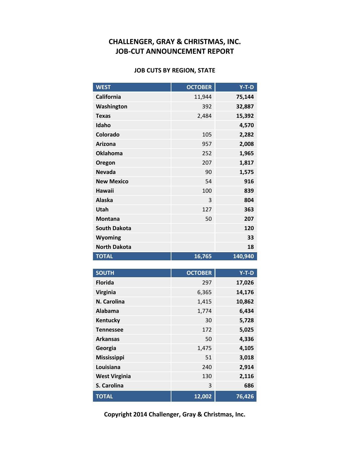#### **JOB CUTS BY REGION, STATE**

| <b>WEST</b>         | <b>OCTOBER</b> | $Y-T-D$ |
|---------------------|----------------|---------|
| <b>California</b>   | 11,944         | 75,144  |
| Washington          | 392            | 32,887  |
| <b>Texas</b>        | 2,484          | 15,392  |
| Idaho               |                | 4,570   |
| Colorado            | 105            | 2,282   |
| <b>Arizona</b>      | 957            | 2,008   |
| <b>Oklahoma</b>     | 252            | 1,965   |
| Oregon              | 207            | 1,817   |
| <b>Nevada</b>       | 90             | 1,575   |
| <b>New Mexico</b>   | 54             | 916     |
| Hawaii              | 100            | 839     |
| <b>Alaska</b>       | 3              | 804     |
| Utah                | 127            | 363     |
| <b>Montana</b>      | 50             | 207     |
| <b>South Dakota</b> |                | 120     |
| Wyoming             |                | 33      |
| <b>North Dakota</b> |                | 18      |
| <b>TOTAL</b>        | 16,765         | 140,940 |

| <b>SOUTH</b>         | <b>OCTOBER</b> | $Y-T-D$ |
|----------------------|----------------|---------|
| <b>Florida</b>       | 297            | 17,026  |
| <b>Virginia</b>      | 6,365          | 14,176  |
| N. Carolina          | 1,415          | 10,862  |
| Alabama              | 1,774          | 6,434   |
| Kentucky             | 30             | 5,728   |
| <b>Tennessee</b>     | 172            | 5,025   |
| <b>Arkansas</b>      | 50             | 4,336   |
| Georgia              | 1,475          | 4,105   |
| <b>Mississippi</b>   | 51             | 3,018   |
| Louisiana            | 240            | 2,914   |
| <b>West Virginia</b> | 130            | 2,116   |
| S. Carolina          | 3              | 686     |
| <b>TOTAL</b>         | 12,002         | 76,426  |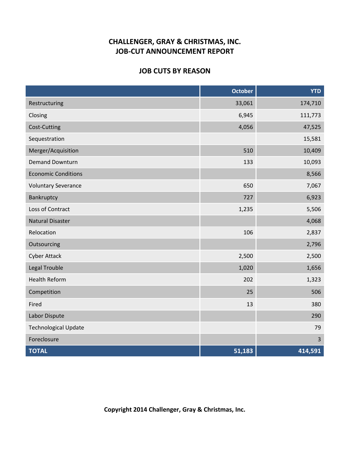#### **JOB CUTS BY REASON**

|                             | <b>October</b> | <b>YTD</b>     |
|-----------------------------|----------------|----------------|
| Restructuring               | 33,061         | 174,710        |
| Closing                     | 6,945          | 111,773        |
| Cost-Cutting                | 4,056          | 47,525         |
| Sequestration               |                | 15,581         |
| Merger/Acquisition          | 510            | 10,409         |
| <b>Demand Downturn</b>      | 133            | 10,093         |
| <b>Economic Conditions</b>  |                | 8,566          |
| <b>Voluntary Severance</b>  | 650            | 7,067          |
| Bankruptcy                  | 727            | 6,923          |
| Loss of Contract            | 1,235          | 5,506          |
| <b>Natural Disaster</b>     |                | 4,068          |
| Relocation                  | 106            | 2,837          |
| Outsourcing                 |                | 2,796          |
| <b>Cyber Attack</b>         | 2,500          | 2,500          |
| <b>Legal Trouble</b>        | 1,020          | 1,656          |
| <b>Health Reform</b>        | 202            | 1,323          |
| Competition                 | 25             | 506            |
| Fired                       | 13             | 380            |
| Labor Dispute               |                | 290            |
| <b>Technological Update</b> |                | 79             |
| Foreclosure                 |                | $\overline{3}$ |
| <b>TOTAL</b>                | 51,183         | 414,591        |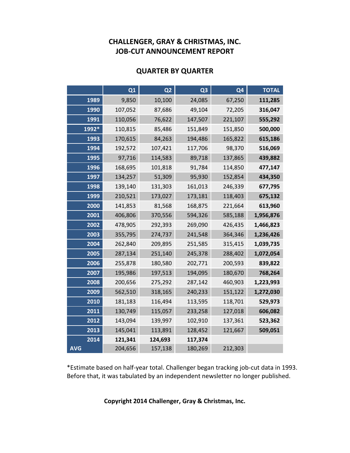#### **QUARTER BY QUARTER**

|            | Q1      | Q <sub>2</sub> | Q <sub>3</sub> | Q <sub>4</sub> | <b>TOTAL</b> |
|------------|---------|----------------|----------------|----------------|--------------|
| 1989       | 9,850   | 10,100         | 24,085         | 67,250         | 111,285      |
| 1990       | 107,052 | 87,686         | 49,104         | 72,205         | 316,047      |
| 1991       | 110,056 | 76,622         | 147,507        | 221,107        | 555,292      |
| 1992*      | 110,815 | 85,486         | 151,849        | 151,850        | 500,000      |
| 1993       | 170,615 | 84,263         | 194,486        | 165,822        | 615,186      |
| 1994       | 192,572 | 107,421        | 117,706        | 98,370         | 516,069      |
| 1995       | 97,716  | 114,583        | 89,718         | 137,865        | 439,882      |
| 1996       | 168,695 | 101,818        | 91,784         | 114,850        | 477,147      |
| 1997       | 134,257 | 51,309         | 95,930         | 152,854        | 434,350      |
| 1998       | 139,140 | 131,303        | 161,013        | 246,339        | 677,795      |
| 1999       | 210,521 | 173,027        | 173,181        | 118,403        | 675,132      |
| 2000       | 141,853 | 81,568         | 168,875        | 221,664        | 613,960      |
| 2001       | 406,806 | 370,556        | 594,326        | 585,188        | 1,956,876    |
| 2002       | 478,905 | 292,393        | 269,090        | 426,435        | 1,466,823    |
| 2003       | 355,795 | 274,737        | 241,548        | 364,346        | 1,236,426    |
| 2004       | 262,840 | 209,895        | 251,585        | 315,415        | 1,039,735    |
| 2005       | 287,134 | 251,140        | 245,378        | 288,402        | 1,072,054    |
| 2006       | 255,878 | 180,580        | 202,771        | 200,593        | 839,822      |
| 2007       | 195,986 | 197,513        | 194,095        | 180,670        | 768,264      |
| 2008       | 200,656 | 275,292        | 287,142        | 460,903        | 1,223,993    |
| 2009       | 562,510 | 318,165        | 240,233        | 151,122        | 1,272,030    |
| 2010       | 181,183 | 116,494        | 113,595        | 118,701        | 529,973      |
| 2011       | 130,749 | 115,057        | 233,258        | 127,018        | 606,082      |
| 2012       | 143,094 | 139,997        | 102,910        | 137,361        | 523,362      |
| 2013       | 145,041 | 113,891        | 128,452        | 121,667        | 509,051      |
| 2014       | 121,341 | 124,693        | 117,374        |                |              |
| <b>AVG</b> | 204,656 | 157,138        | 180,269        | 212,303        |              |

\*Estimate based on half-year total. Challenger began tracking job-cut data in 1993. Before that, it was tabulated by an independent newsletter no longer published.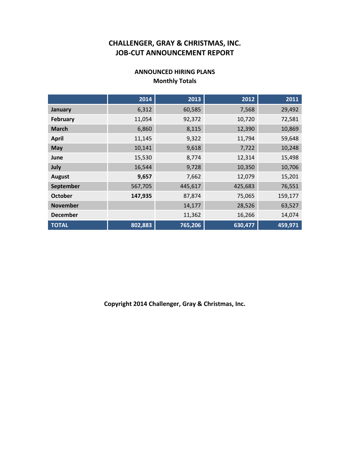#### **ANNOUNCED HIRING PLANS Monthly Totals**

|                 | 2014    | 2013    | 2012    | 2011    |
|-----------------|---------|---------|---------|---------|
| January         | 6,312   | 60,585  | 7,568   | 29,492  |
| February        | 11,054  | 92,372  | 10,720  | 72,581  |
| <b>March</b>    | 6,860   | 8,115   | 12,390  | 10,869  |
| <b>April</b>    | 11,145  | 9,322   | 11,794  | 59,648  |
| May             | 10,141  | 9,618   | 7,722   | 10,248  |
| June            | 15,530  | 8,774   | 12,314  | 15,498  |
| July            | 16,544  | 9,728   | 10,350  | 10,706  |
| <b>August</b>   | 9,657   | 7,662   | 12,079  | 15,201  |
| September       | 567,705 | 445,617 | 425,683 | 76,551  |
| <b>October</b>  | 147,935 | 87,874  | 75,065  | 159,177 |
| <b>November</b> |         | 14,177  | 28,526  | 63,527  |
| <b>December</b> |         | 11,362  | 16,266  | 14,074  |
| <b>TOTAL</b>    | 802,883 | 765,206 | 630,477 | 459,971 |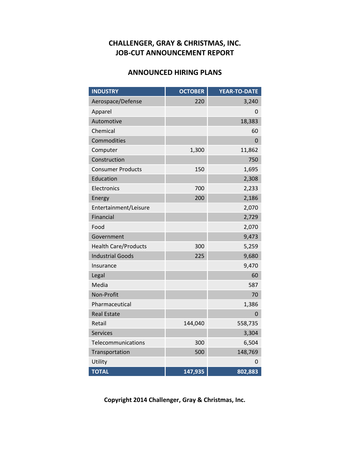### **ANNOUNCED HIRING PLANS**

| <b>INDUSTRY</b>             | <b>OCTOBER</b> | <b>YEAR-TO-DATE</b> |
|-----------------------------|----------------|---------------------|
| Aerospace/Defense           | 220            | 3,240               |
| Apparel                     |                | 0                   |
| Automotive                  |                | 18,383              |
| Chemical                    |                | 60                  |
| Commodities                 |                | 0                   |
| Computer                    | 1,300          | 11,862              |
| Construction                |                | 750                 |
| <b>Consumer Products</b>    | 150            | 1,695               |
| Education                   |                | 2,308               |
| Electronics                 | 700            | 2,233               |
| Energy                      | 200            | 2,186               |
| Entertainment/Leisure       |                | 2,070               |
| Financial                   |                | 2,729               |
| Food                        |                | 2,070               |
| Government                  |                | 9,473               |
| <b>Health Care/Products</b> | 300            | 5,259               |
| <b>Industrial Goods</b>     | 225            | 9,680               |
| Insurance                   |                | 9,470               |
| Legal                       |                | 60                  |
| Media                       |                | 587                 |
| Non-Profit                  |                | 70                  |
| Pharmaceutical              |                | 1,386               |
| <b>Real Estate</b>          |                | $\Omega$            |
| Retail                      | 144,040        | 558,735             |
| <b>Services</b>             |                | 3,304               |
| Telecommunications          | 300            | 6,504               |
| Transportation              | 500            | 148,769             |
| Utility                     |                | 0                   |
| <b>TOTAL</b>                | 147,935        | 802,883             |